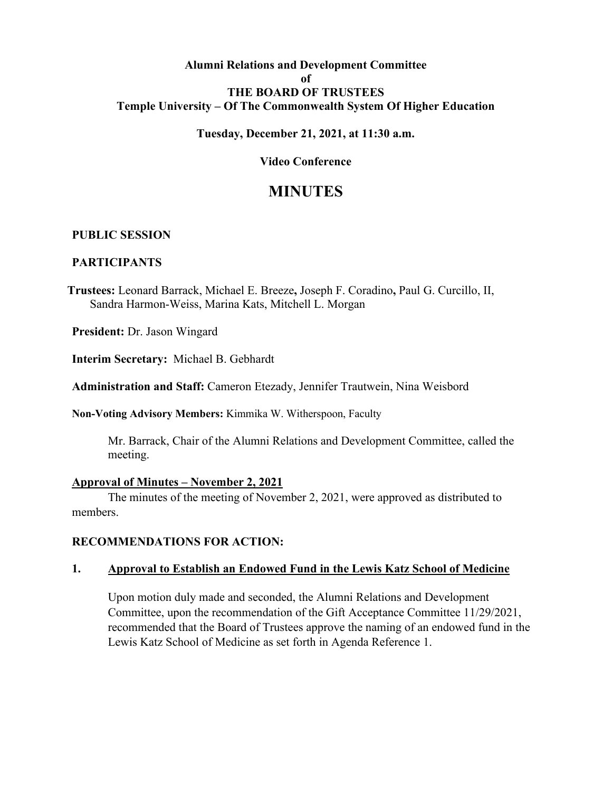### **Alumni Relations and Development Committee of THE BOARD OF TRUSTEES Temple University – Of The Commonwealth System Of Higher Education**

#### **Tuesday, December 21, 2021, at 11:30 a.m.**

#### **Video Conference**

# **MINUTES**

#### **PUBLIC SESSION**

#### **PARTICIPANTS**

**Trustees:** Leonard Barrack, Michael E. Breeze**,** Joseph F. Coradino**,** Paul G. Curcillo, II, Sandra Harmon-Weiss, Marina Kats, Mitchell L. Morgan

**President:** Dr. Jason Wingard

**Interim Secretary:** Michael B. Gebhardt

**Administration and Staff:** Cameron Etezady, Jennifer Trautwein, Nina Weisbord

**Non-Voting Advisory Members:** Kimmika W. Witherspoon, Faculty

Mr. Barrack, Chair of the Alumni Relations and Development Committee, called the meeting.

#### **Approval of Minutes – November 2, 2021**

The minutes of the meeting of November 2, 2021, were approved as distributed to members.

#### **RECOMMENDATIONS FOR ACTION:**

### **1. Approval to Establish an Endowed Fund in the Lewis Katz School of Medicine**

Upon motion duly made and seconded, the Alumni Relations and Development Committee, upon the recommendation of the Gift Acceptance Committee 11/29/2021, recommended that the Board of Trustees approve the naming of an endowed fund in the Lewis Katz School of Medicine as set forth in Agenda Reference 1.